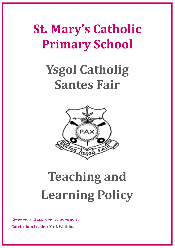# **St. Mary's Catholic Primary School**

# **Ysgol Catholig Santes Fair**



# **Teaching and Learning Policy**

Reviewed and approved by Governors.

**Curriculum Leader: Mr L Watkins**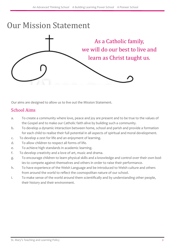### Our Mission Statement



Our aims are designed to allow us to live out the Mission Statement.

### School Aims

- a. To create a community where love, peace and joy are present and to be true to the values of the Gospel and to make our Catholic faith alive by building such a community.
- b. To develop a dynamic interaction between home, school and parish and provide a formation for each child to realise their full potential in all aspects of spiritual and moral development.
- c. To develop a zest for life and an enjoyment of learning.
- d. To allow children to respect all forms of life.
- e. To achieve high standards in academic learning.
- f. To develop creativity and a love of art, music and drama.
- g. To encourage children to learn physical skills and a knowledge and control over their own bodies to compete against themselves and others in order to raise their performance.
- h. To have experience of the Welsh Language and be introduced to Welsh culture and others from around the world to reflect the cosmopolitan nature of our school.
- i. To make sense of the world around them scientifically and by understanding other people, their history and their environment.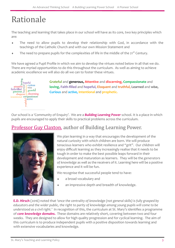### Rationale

The teaching and learning that takes place in our school will have as its core, two key principles which are:

- The need to allow pupils to develop their relationship with God, in accordance with the teachings of the Catholic Church and with our own Mission Statement and
- The need to prepare pupils for the complexities of life in the middle of the 21<sup>st</sup> Century.

We have agreed a Pupil Profile in which we aim to develop the virtues noted below in all that we do. There are myriad opportunities to do this throughout the curriculum. As well as aiming to achieve academic excellence we will also do all we can to foster these virtues.



**Grateful** and **generous, Attentive** and **discerning, Compassionate** and **loving, Faith-filled** and **hopeful, Eloquent** and **truthful, Learned** and **wise, Curious** and **active, Intentional** and **prophetic.**

Our school is a 'Community of Enquiry'. We are a *Building Learning Power* school. It is a place in which pupils are encouraged to apply their skills to practical problems across the curriculum.

### [Professor Guy Claxton,](https://www.buildinglearningpower.com) author of Building Learning Power.



We plan learning in a way that encourages the development of the natural curiosity with which children are born. We will produce tenacious learners who exhibit resilience and "grit". Our children will enjoy difficult learning as they increasingly realise that it needs to be tough in order to make the best possible leaps forward in their development and maturation as learners. They will be the *generators of knowledge* as well as the receivers of it. Learning here will be a positive experience and it will be fun.

We recognise that successful people tend to have:

- a broad vocabulary and
- an impressive depth and breadth of knowledge.

**E.D. Hirsch** (2016) noted that *'once the centrality of knowledge (not general skills) is fully grasped by educators and the wider public, the right to parity of knowledge among young pupils will come to be understood as a civil right.'* In recognition of this, the curriculum at St. Mary's identifies a programme of *core knowledge domains.* These domains are relatively short, covering between two and four weeks. They are designed to allow for high quality progression and for cyclical learning. The aim of this curriculum is to produce independent pupils with a positive disposition towards learning and with extensive vocabularies and knowledge.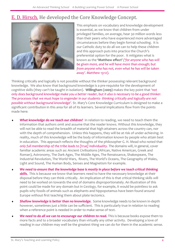### [E. D. Hirsch.](https://www.coreknowledge.org/about-us/e-d-hirsch-jr/) He developed the Core Knowledge Concept.



This emphasis on vocabulary and knowledge development is essential, as we know that children from under privileged families, on average, hear 30 million words less than their peers who have experienced more advantaged circumstances before they begin formal schooling. It is our Catholic duty to do all we can to help these children and this approach puts into practice the Church's preferential option for the poor. It mitigates what is known as the **'Matthew effect'** *('for anyone who has will be given more, and he will have more than enough; but from anyone who has not, even what he has will be taken away'. Matthew 13:12*).

Thinking critically and logically is not possible without the thinker possessing relevant background knowledge. We also know that background knowledge is a pre-requisite for the development of cognitive skills (they can't be taught in isolation). **[Willingham](http://www.danielwillingham.com/articles.html) (2009)** makes the key point that *'not only does background knowledge make you a better reader, but it also is necessary to be a good thinker. The processes that we must hope to engender in our students- thinking critically and logically-are not possible without background knowledge'.* St. Mary's Core Knowledge Curriculum is designed to make a significant contribution in this area for all of its learners. Several implications flow from the points made here:

- **What knowledge do we teach our children?** In relation to reading, we need to teach them the information that authors omit and assume that the reader knows. Without this knowledge, they will not be able to read the breadth of material that high attainers across the country can, nor with the depth of comprehension. Unless this happens, they will be at risk of under-achieving. In reality, much of this knowledge will be the body of information known by people who attain best in education. This approach reflects the thoughts of the philosopher G. H. Mead who noted that only full membership of the tribe leads to [true] individuality. The domains will, in general, cover familiar academic areas such as: Ancient Civilisations (African, Native American, Greek and Roman), Astronomy, The Dark Ages, The Middle Ages, The Renaissance, Shakespeare, The Industrial Revolution, The World Wars, Rivers, The World's Oceans, The Geography of Wales, Light and Sound, The Human Body, Senses and Magnetism for example.
- *We need to ensure that the knowledge base is mostly in place before we teach critical thinking*  **skills.** This is because we know that learners need to have the necessary knowledge at their disposal before they can think critically. An implication of this is that critical thinking skills will need to be worked on towards the end of domains disproportionately. An illustration of this point could be made for any domain but in *Geology,* for example, it would be pointless to ask pupils why fossils of animals such as elephants and hippopotamus have been found around Europe without first teaching them about plate tectonics.
- *Shallow knowledge is better than no knowledge.* Some knowledge needs to be known in-depth however, sometimes just a little can be sufficient. This is particularly true in relation to reading when a reference point is needed in order to make sense of text.
- We need to do all we can to encourage our children to read. This is because books expose them to more facts and to a broader vocabulary than virtually any other activity. Developing a love of reading in our children may well be the greatest thing we can do for them in the academic sense.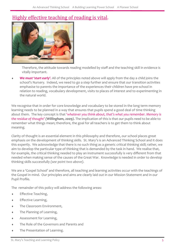### [Highly effective teaching of reading is vital.](https://educationendowmentfoundation.org.uk/evidence-summaries/teaching-learning-toolkit/reading-comprehension-strategies/)



Therefore, the attitude towards reading modelled by staff and the teaching skill in evidence is vitally important.

 *We must 'start early'.* All of the principles noted above will apply from the day a child joins the school's Nursery. Indeed, we need to go a step further and ensure that our transition activities emphasise to parents the importance of the experiences their children have pre-school in relation to reading, vocabulary development, visits to places of interest and to experimenting in the natural world.

We recognise that in order for core knowledge and vocabulary to be stored in the long term memory learning needs to be planned in a way that ensures that pupils spend a good deal of time thinking about them. The key concept is that *'whatever you think about, that's what you remember. Memory is the residue of thought' (Willingham, 2009).* The implication of this is that our pupils need to be able to remember what things mean; therefore, the goal for all teachers is to get them to think about meaning.

Clarity of thought is an essential element in this philosophy and therefore, our school places great emphasis on the development of thinking skills. St. Mary's is an Advanced Thinking School and it does this expertly. We acknowledge that there is no such thing as a generic critical thinking skill; rather, we aim to develop the particular type of thinking that is demanded by the task in hand. We realise that, for example, the critical thinking needed to play an instrument successfully is very different from that needed when making sense of the causes of the Great War. Knowledge is needed in order to develop thinking skills successfully *(see point two above).*

We are a 'Gospel School' and therefore, all teaching and learning activities occur with the teachings of the Gospel in mind. Our principles and aims are clearly laid out in our Mission Statement and in our Pupil Profile.

The remainder of this policy will address the following areas:

- Effective Teaching,
- Effective Learning,
- The Classroom Environment,
- The Planning of Learning,
- Assessment for Learning,
- The Role of the Governors and Parents and
- The Presentation of Learning.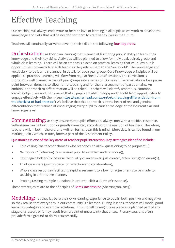### Effective Teaching

Our teaching will always endeavour to foster a love of learning in all pupils as we work to develop the knowledge and skills that will be needed for them to craft happy lives in the future.

Teachers will continually strive to develop their skills in the following four key areas:

Orchestration: as they plan learning that is aimed at furthering pupils' ability to learn, their knowledge and their key skills. Activities will be planned to allow for individual, paired, group and whole class learning. There will be an emphasis placed on practical learning that will allow pupils opportunities to consolidate skills learnt as they relate them to the 'real world'. The knowledge and vocabulary to be learnt is planned, in detail, for each year group. Core Knowledge principles will be applied to practice. Learning will flow from regular 'Read Aloud' sessions. The curriculum is thoroughly well planned across all year groups into a series of 'Domains'. There will always be a pause point between domains to allow for re-teaching and for the re-assessment of past domains. An ambitious approach to differentiation will be taken. Teachers will identify ambitious, common learning objectives and then ensure that all pupils are able to enjoy and benefit from opportunities to engage effectively with them (see [https://teacherhead.com/2019/01/24/rescuing](https://teacherhead.com/2019/01/24/rescuing-differentiation-from-the-checklist-of-bad-practice/)-differentiation-fromthe-checklist-of-bad-[practice/\)](https://teacherhead.com/2019/01/24/rescuing-differentiation-from-the-checklist-of-bad-practice/) We believe that this approach is at the heart of real and genuine differentiation that is aimed at encouraging every pupil to learn at the edge of their current skill and knowledge level.

Commentating: as they ensure that pupils' efforts are always met with a positive response. Self-esteem can be built upon or greatly damaged, according to the reaction of teachers. Therefore, teachers will, in both the oral and written forms, bear this is mind. More details can be found in our Marking Policy which, in turn, forms a part of the Assessment Policy.

Questioning is one of the key areas of teacher:pupil interaction. Key strategies identified include:

- Cold calling (the teacher chooses who responds, to allow questioning to be purposeful),
- No 'opt-out' (returning to an unsure pupil to establish understanding),
- Say it again better (to increase the quality of an answer; just correct, often isn't good enough),
- Think-pair-share (giving space for reflection and collaboration),
- Whole class response (facilitating rapid assessment to allow for adjustments to be made to teaching in a formative manner.
- Probing (asking multiple questions in order to elicit a depth of response).

These strategies relate to the principles of [Barak Rosenshine](https://edcentral.uk/edblog/expert-insight/a-beginners-guide-to-professor-barak-rosenshine) (Sherrington, 2019).

Modelling: as they lay bare their own learning experience to pupils, both positive and negative so they realise that everybody in our community is a learner. During lessons, teachers will model good learning strategies and exemplar solutions. This modelling might take place as a planned part of any stage of a lesson, or it may result from a point of uncertainty that arises. Plenary sessions often provide fertile ground to do this successfully.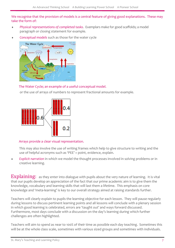We recognise that the provision of models is a central feature of giving good explanations. These may take the form of:

- *Physical representations of completed tasks*. Exemplars make for good scaffolds; a model paragraph or closing statement for example.
- *Conceptual models* such as those for the water cycle



#### The Water Cycle; an example of a useful conceptual model.

or the use of arrays of numbers to represent fractional amounts for example.



#### Arrays provide a clear visual representation.

This may also involve the use of writing frames which help to give structure to writing and the use of helpful acronyms such as 'PEE' = point, evidence, explain.

 *Explicit narration* in which we model the thought processes involved in solving problems or in creative learning.

**Explaining:** as they enter into dialogue with pupils about the very nature of learning. It is vital that our pupils develop an appreciation of the fact that our prime academic aim is to give them the knowledge, vocabulary and learning skills that will last them a lifetime. This emphasis on core knowledge and 'meta-learning' is key to our overall strategy aimed at raising standards further.

Teachers will clearly explain to pupils the learning objective for each lesson. They will pause regularly during lessons to discuss pertinent learning points and all lessons will conclude with a plenary session in which good learning is celebrated, errors are 'taught out' and ways forward discussed. Furthermore, most days conclude with a discussion on the day's learning during which further challenges are often highlighted.

Teachers will aim to spend as near to 100% of their time as possible each day teaching. Sometimes this will be at the whole class scale, sometimes with various sized groups and sometimes with individuals.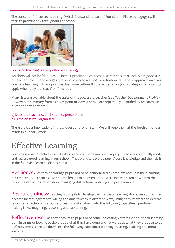The concept of 'focussed teaching' (which is a standard part of Foundation Phase pedagogy) will feature prominently throughout the school.



Focussed teaching is a very effective strategy.

Teachers will not be 'desk based' in their practice as we recognise that this approach is not good use of teacher time. It encourages queues of children waiting for attention; rather our approach involves teachers teaching within a positive classroom culture that provides a range of strategies for pupils to apply when they are 'stuck' or 'finished'.

Many lists are available about the traits of the successful teacher (see *Teacher Development Profile*). However, in summary from a child's point of view, just two are repeatedly identified by research. In question form they are:

#### a) Does the teacher seem like a nice person? and b) Is the class well organised?

There are clear implications in these questions for all staff. We will keep them at the forefront of our minds in our daily work.

# Effective Learning

Learning is most effective when it takes place in a 'Community of Enquiry'. Teachers continually model and reward good learning in our school. They work to develop pupils' core knowledge and their skills in the following learning dispositions:

Resilience: as they encourage pupils not to be demoralised as problems occur in their learning but rather to see them as exciting challenges to be overcome. Resilience is broken down into the following capacities: absorption, managing distractions, noticing and perseverance.

Resourcefulness: as they aid pupils to develop their range of learning strategies so that they become increasingly ready, willing and able to learn in different ways, using both internal and external resources effectively. Resourcefulness is broken down into the following capacities: questioning, making links, imagining, reasoning and capitalising.

Reflectiveness: as they encourage pupils to become increasingly strategic about their learning both in terms of looking backwards at what they have done and forwards at what they propose to do. Reflectiveness is broken down into the following capacities: planning, revising, distilling and metalearning.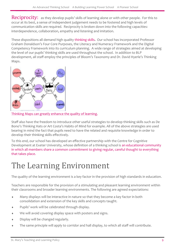Reciprocity: as they develop pupils' skills of learning alone or with other people. For this to occur at its best, a sense of independent judgement needs to be fostered and high levels of communication skills are required. Reciprocity is broken down into the following capacities: interdependence, collaboration, empathy and listening and imitation.

These dispositions all demand high quality thinking skills**.** Our school has incorporated Professor Graham Donaldson's Four Core Purposes, the Literacy and Numeracy Framework and the Digital Competency Framework into its curriculum planning. A wide range of strategies aimed at developing the level of our pupils' thinking skills are used throughout the school. In addition to BLP development, all staff employ the principles of Bloom's Taxonomy and Dr. David Hyerle's Thinking Maps.



[Thinking Maps can greatly enhance the quality of learning.](http://dft.designsforthinking.com/?page_id=17)

Staff also have the freedom to introduce other useful strategies to develop thinking skills such as De Bono's Thinking Hats or Art Costa's Habits of Mind for example. All of the above strategies are used bearing in mind the fact that pupils need to have the related and requisite knowledge in order to develop their thinking skills effectively.

To this end, our school has developed an effective partnership with the Centre for Cognitive Development at Exeter University, whose definition of a thinking school is an educational community in which all members share a common commitment to giving regular, careful thought to everything that takes place.

# The Learning Environment

The quality of the learning environment is a key factor in the provision of high standards in education.

Teachers are responsible for the provision of a stimulating and pleasant learning environment within their classrooms and broader learning environments. The following are agreed expectations:

- Many displays will be interactive in nature so that they become a key factor in both consolidation and extension of the key skills and concepts taught.
- Pupils' work will be celebrated through display.
- We will avoid covering display space with posters and signs.
- $\bullet$  Display will be changed regularly.
- The same principle will apply to corridor and hall display, to which all staff will contribute.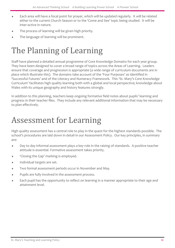- Each area will have a focal point for prayer, which will be updated regularly. It will be related either to the current Church Season or to the 'Come and See' topic being studied. It will be inter-active in nature.
- The process of learning will be given high priority.
- The language of learning will be prominent.

## The Planning of Learning

Staff have planned a detailed annual programme of Core Knowledge Domains for each year group. They have been designed to cover a broad range of topics across the Areas of Learning. Leaders ensure that coverage and progression is appropriate (a wide range of curriculum documents are in place which illustrate this). The domains take account of the 'Four Purposes' as identified in 'Successful Futures' and of the Literacy and Numeracy Framework. This 'St. Mary's Core Knowledge Curriculum' facilitates high quality learning both with a global and local perspective; knowledge about Wales with its unique geography and history features strongly.

In addition to this planning, teachers keep ongoing formative field notes about pupils' learning and progress in their teacher files. They include any relevant additional information that may be necessary to plan effectively.

### Assessment for Learning

High quality assessment has a central role to play in the quest for the highest standards possible. The school's procedures are laid down in detail in our Assessment Policy. Our key principles, in summary are:

- Day to day informal assessment plays a key role in the raising of standards. A positive teacher attitude is essential. Formative assessment takes priority.
- 'Closing the Gap' marking is employed.
- Individual targets are set.
- Two formal assessment periods occur in November and May.
- Pupils are fully involved in the assessment process.
- Each pupil has the opportunity to reflect on learning in a manner appropriate to their age and attainment level.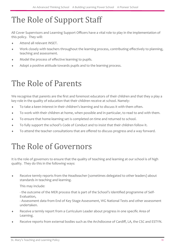# The Role of Support Staff

All Cover Supervisors and Learning Support Officers have a vital role to play in the implementation of this policy. They will:

- Attend all relevant INSET.
- Work closely with teachers throughout the learning process, contributing effectively to planning, teaching and assessment.
- Model the process of effective learning to pupils.
- Adopt a positive attitude towards pupils and to the learning process.

### The Role of Parents

We recognise that parents are the first and foremost educators of their children and that they a play a key role in the quality of education that their children receive at school. Namely:

- To take a keen interest in their children's learning and to discuss it with them often.
- To work with their children at home, when possible and in particular, to read to and with them.
- To ensure that home-learning set is completed on time and returned to school.
- To fully support the school's Code of Conduct and to insist that their children follow it.
- To attend the teacher consultations that are offered to discuss progress and a way forward.

### The Role of Governors

It is the role of governors to ensure that the quality of teaching and learning at our school is of high quality. They do this in the following ways:

 Receive termly reports from the Headteacher (sometimes delegated to other leaders) about standards in teaching and learning.

This may include:

- the outcome of the MER process that is part of the School's Identified programme of Self-Evaluation,

- Assessment data from End of Key Stage Assessment, WG National Tests and other assessment undertaken.

- Receive a termly report from a Curriculum Leader about progress in one specific Area of Learning.
- Receive reports from external bodies such as the Archdiocese of Cardiff, LA, the CSC and ESTYN.